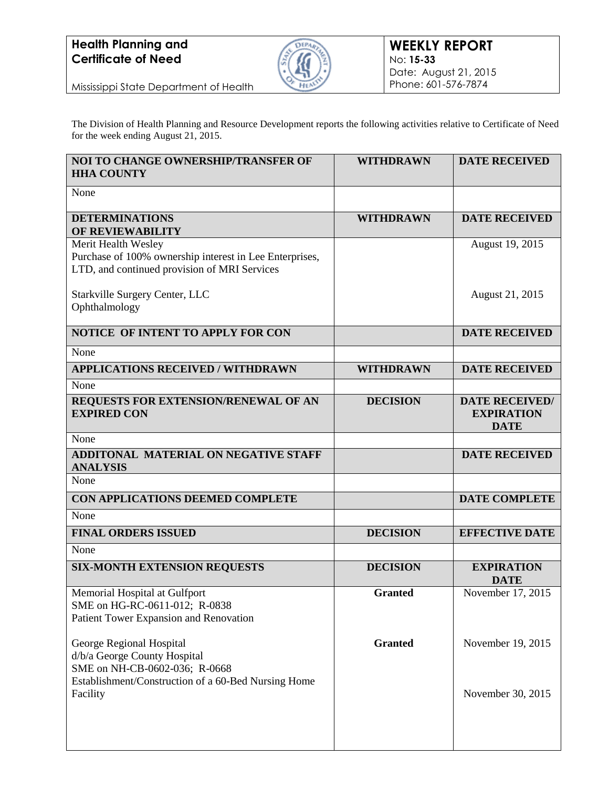

Mississippi State Department of Health

The Division of Health Planning and Resource Development reports the following activities relative to Certificate of Need for the week ending August 21, 2015.

| NOI TO CHANGE OWNERSHIP/TRANSFER OF<br><b>HHA COUNTY</b>       | <b>WITHDRAWN</b> | <b>DATE RECEIVED</b>  |
|----------------------------------------------------------------|------------------|-----------------------|
| None                                                           |                  |                       |
| <b>DETERMINATIONS</b><br>OF REVIEWABILITY                      | <b>WITHDRAWN</b> | <b>DATE RECEIVED</b>  |
| Merit Health Wesley                                            |                  | August 19, 2015       |
| Purchase of 100% ownership interest in Lee Enterprises,        |                  |                       |
| LTD, and continued provision of MRI Services                   |                  |                       |
| Starkville Surgery Center, LLC                                 |                  | August 21, 2015       |
| Ophthalmology                                                  |                  |                       |
|                                                                |                  |                       |
| NOTICE OF INTENT TO APPLY FOR CON                              |                  | <b>DATE RECEIVED</b>  |
| None                                                           |                  |                       |
| <b>APPLICATIONS RECEIVED / WITHDRAWN</b>                       | <b>WITHDRAWN</b> | <b>DATE RECEIVED</b>  |
| None                                                           |                  |                       |
| REQUESTS FOR EXTENSION/RENEWAL OF AN                           | <b>DECISION</b>  | <b>DATE RECEIVED/</b> |
| <b>EXPIRED CON</b>                                             |                  | <b>EXPIRATION</b>     |
|                                                                |                  | <b>DATE</b>           |
| None                                                           |                  |                       |
| <b>ADDITONAL MATERIAL ON NEGATIVE STAFF</b><br><b>ANALYSIS</b> |                  | <b>DATE RECEIVED</b>  |
| None                                                           |                  |                       |
| CON APPLICATIONS DEEMED COMPLETE                               |                  | <b>DATE COMPLETE</b>  |
| None                                                           |                  |                       |
| <b>FINAL ORDERS ISSUED</b>                                     | <b>DECISION</b>  | <b>EFFECTIVE DATE</b> |
| None                                                           |                  |                       |
| <b>SIX-MONTH EXTENSION REQUESTS</b>                            | <b>DECISION</b>  | <b>EXPIRATION</b>     |
|                                                                |                  | <b>DATE</b>           |
| Memorial Hospital at Gulfport                                  | <b>Granted</b>   | November 17, 2015     |
| SME on HG-RC-0611-012; R-0838                                  |                  |                       |
| Patient Tower Expansion and Renovation                         |                  |                       |
| George Regional Hospital                                       | <b>Granted</b>   | November 19, 2015     |
| d/b/a George County Hospital                                   |                  |                       |
| SME on NH-CB-0602-036; R-0668                                  |                  |                       |
| Establishment/Construction of a 60-Bed Nursing Home            |                  |                       |
| Facility                                                       |                  | November 30, 2015     |
|                                                                |                  |                       |
|                                                                |                  |                       |
|                                                                |                  |                       |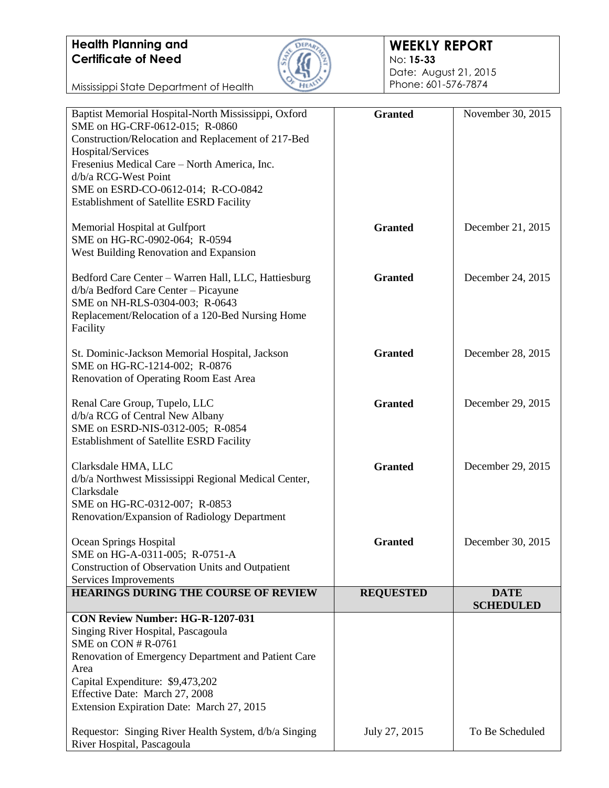Mississippi State Department of Health



#### **WEEKLY REPORT** No: **15-33**

Date: August 21, 2015 Phone: 601-576-7874

| Baptist Memorial Hospital-North Mississippi, Oxford   | <b>Granted</b>   | November 30, 2015 |
|-------------------------------------------------------|------------------|-------------------|
| SME on HG-CRF-0612-015; R-0860                        |                  |                   |
| Construction/Relocation and Replacement of 217-Bed    |                  |                   |
| Hospital/Services                                     |                  |                   |
| Fresenius Medical Care - North America, Inc.          |                  |                   |
| d/b/a RCG-West Point                                  |                  |                   |
| SME on ESRD-CO-0612-014; R-CO-0842                    |                  |                   |
| <b>Establishment of Satellite ESRD Facility</b>       |                  |                   |
|                                                       |                  |                   |
| Memorial Hospital at Gulfport                         | <b>Granted</b>   | December 21, 2015 |
| SME on HG-RC-0902-064; R-0594                         |                  |                   |
| West Building Renovation and Expansion                |                  |                   |
| Bedford Care Center - Warren Hall, LLC, Hattiesburg   | <b>Granted</b>   | December 24, 2015 |
| d/b/a Bedford Care Center - Picayune                  |                  |                   |
| SME on NH-RLS-0304-003; R-0643                        |                  |                   |
| Replacement/Relocation of a 120-Bed Nursing Home      |                  |                   |
|                                                       |                  |                   |
| Facility                                              |                  |                   |
| St. Dominic-Jackson Memorial Hospital, Jackson        | <b>Granted</b>   | December 28, 2015 |
| SME on HG-RC-1214-002; R-0876                         |                  |                   |
| Renovation of Operating Room East Area                |                  |                   |
|                                                       |                  |                   |
| Renal Care Group, Tupelo, LLC                         | <b>Granted</b>   | December 29, 2015 |
| d/b/a RCG of Central New Albany                       |                  |                   |
| SME on ESRD-NIS-0312-005; R-0854                      |                  |                   |
| <b>Establishment of Satellite ESRD Facility</b>       |                  |                   |
|                                                       |                  |                   |
| Clarksdale HMA, LLC                                   | <b>Granted</b>   | December 29, 2015 |
| d/b/a Northwest Mississippi Regional Medical Center,  |                  |                   |
| Clarksdale                                            |                  |                   |
| SME on HG-RC-0312-007; R-0853                         |                  |                   |
| Renovation/Expansion of Radiology Department          |                  |                   |
|                                                       |                  |                   |
| Ocean Springs Hospital                                | <b>Granted</b>   | December 30, 2015 |
| SME on HG-A-0311-005; R-0751-A                        |                  |                   |
| Construction of Observation Units and Outpatient      |                  |                   |
| Services Improvements                                 |                  |                   |
| HEARINGS DURING THE COURSE OF REVIEW                  | <b>REQUESTED</b> | <b>DATE</b>       |
| CON Review Number: HG-R-1207-031                      |                  | <b>SCHEDULED</b>  |
| Singing River Hospital, Pascagoula                    |                  |                   |
| SME on CON # R-0761                                   |                  |                   |
| Renovation of Emergency Department and Patient Care   |                  |                   |
| Area                                                  |                  |                   |
| Capital Expenditure: \$9,473,202                      |                  |                   |
| Effective Date: March 27, 2008                        |                  |                   |
| Extension Expiration Date: March 27, 2015             |                  |                   |
|                                                       |                  |                   |
| Requestor: Singing River Health System, d/b/a Singing | July 27, 2015    | To Be Scheduled   |
| River Hospital, Pascagoula                            |                  |                   |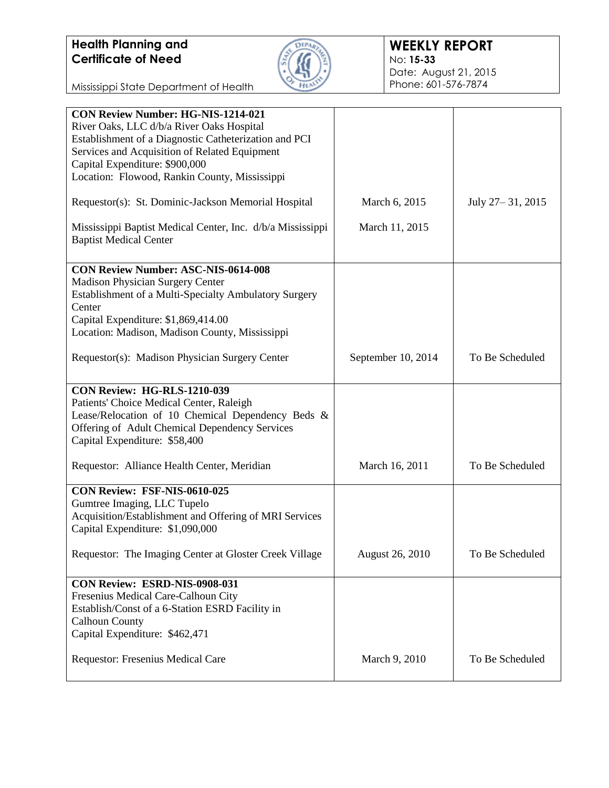

Mississippi State Department of Health

| <b>CON Review Number: HG-NIS-1214-021</b><br>River Oaks, LLC d/b/a River Oaks Hospital<br>Establishment of a Diagnostic Catheterization and PCI |                    |                    |
|-------------------------------------------------------------------------------------------------------------------------------------------------|--------------------|--------------------|
| Services and Acquisition of Related Equipment<br>Capital Expenditure: \$900,000<br>Location: Flowood, Rankin County, Mississippi                |                    |                    |
| Requestor(s): St. Dominic-Jackson Memorial Hospital                                                                                             | March 6, 2015      | July 27 – 31, 2015 |
| Mississippi Baptist Medical Center, Inc. d/b/a Mississippi<br><b>Baptist Medical Center</b>                                                     | March 11, 2015     |                    |
| <b>CON Review Number: ASC-NIS-0614-008</b>                                                                                                      |                    |                    |
| <b>Madison Physician Surgery Center</b>                                                                                                         |                    |                    |
| Establishment of a Multi-Specialty Ambulatory Surgery                                                                                           |                    |                    |
| Center                                                                                                                                          |                    |                    |
| Capital Expenditure: \$1,869,414.00                                                                                                             |                    |                    |
| Location: Madison, Madison County, Mississippi                                                                                                  |                    |                    |
| Requestor(s): Madison Physician Surgery Center                                                                                                  | September 10, 2014 | To Be Scheduled    |
| CON Review: HG-RLS-1210-039                                                                                                                     |                    |                    |
| Patients' Choice Medical Center, Raleigh                                                                                                        |                    |                    |
| Lease/Relocation of 10 Chemical Dependency Beds &                                                                                               |                    |                    |
| Offering of Adult Chemical Dependency Services                                                                                                  |                    |                    |
| Capital Expenditure: \$58,400                                                                                                                   |                    |                    |
| Requestor: Alliance Health Center, Meridian                                                                                                     | March 16, 2011     | To Be Scheduled    |
| CON Review: FSF-NIS-0610-025                                                                                                                    |                    |                    |
| Gumtree Imaging, LLC Tupelo                                                                                                                     |                    |                    |
| Acquisition/Establishment and Offering of MRI Services                                                                                          |                    |                    |
| Capital Expenditure: \$1,090,000                                                                                                                |                    |                    |
| Requestor: The Imaging Center at Gloster Creek Village                                                                                          | August 26, 2010    | To Be Scheduled    |
|                                                                                                                                                 |                    |                    |
| CON Review: ESRD-NIS-0908-031                                                                                                                   |                    |                    |
| Fresenius Medical Care-Calhoun City                                                                                                             |                    |                    |
| Establish/Const of a 6-Station ESRD Facility in                                                                                                 |                    |                    |
| <b>Calhoun County</b>                                                                                                                           |                    |                    |
| Capital Expenditure: \$462,471                                                                                                                  |                    |                    |
|                                                                                                                                                 |                    |                    |
| Requestor: Fresenius Medical Care                                                                                                               | March 9, 2010      | To Be Scheduled    |
|                                                                                                                                                 |                    |                    |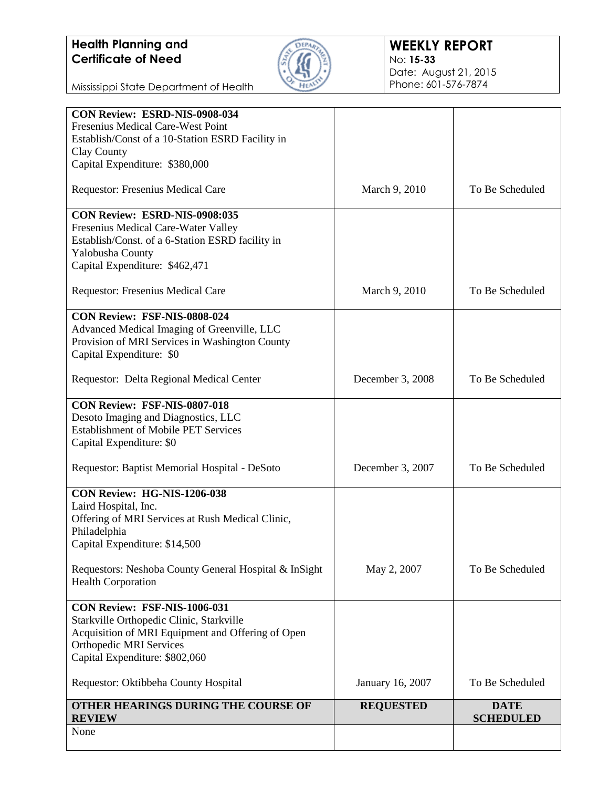

#### **WEEKLY REPORT** No: **15-33** Date: August 21, 2015 Phone: 601-576-7874

Mississippi State Department of Health

| CON Review: ESRD-NIS-0908-034                         |                  |                 |
|-------------------------------------------------------|------------------|-----------------|
| Fresenius Medical Care-West Point                     |                  |                 |
| Establish/Const of a 10-Station ESRD Facility in      |                  |                 |
| Clay County                                           |                  |                 |
| Capital Expenditure: \$380,000                        |                  |                 |
| Requestor: Fresenius Medical Care                     | March 9, 2010    | To Be Scheduled |
| CON Review: ESRD-NIS-0908:035                         |                  |                 |
| Fresenius Medical Care-Water Valley                   |                  |                 |
| Establish/Const. of a 6-Station ESRD facility in      |                  |                 |
| Yalobusha County                                      |                  |                 |
| Capital Expenditure: \$462,471                        |                  |                 |
| Requestor: Fresenius Medical Care                     | March 9, 2010    | To Be Scheduled |
| CON Review: FSF-NIS-0808-024                          |                  |                 |
| Advanced Medical Imaging of Greenville, LLC           |                  |                 |
| Provision of MRI Services in Washington County        |                  |                 |
| Capital Expenditure: \$0                              |                  |                 |
|                                                       |                  |                 |
| Requestor: Delta Regional Medical Center              | December 3, 2008 | To Be Scheduled |
| CON Review: FSF-NIS-0807-018                          |                  |                 |
| Desoto Imaging and Diagnostics, LLC                   |                  |                 |
| <b>Establishment of Mobile PET Services</b>           |                  |                 |
| Capital Expenditure: \$0                              |                  |                 |
| Requestor: Baptist Memorial Hospital - DeSoto         | December 3, 2007 | To Be Scheduled |
| CON Review: HG-NIS-1206-038                           |                  |                 |
| Laird Hospital, Inc.                                  |                  |                 |
| Offering of MRI Services at Rush Medical Clinic,      |                  |                 |
| Philadelphia                                          |                  |                 |
| Capital Expenditure: \$14,500                         |                  |                 |
| Requestors: Neshoba County General Hospital & InSight | May 2, 2007      | To Be Scheduled |
| <b>Health Corporation</b>                             |                  |                 |
| <b>CON Review: FSF-NIS-1006-031</b>                   |                  |                 |
| Starkville Orthopedic Clinic, Starkville              |                  |                 |
| Acquisition of MRI Equipment and Offering of Open     |                  |                 |
| <b>Orthopedic MRI Services</b>                        |                  |                 |
| Capital Expenditure: \$802,060                        |                  |                 |
| Requestor: Oktibbeha County Hospital                  | January 16, 2007 | To Be Scheduled |
| OTHER HEARINGS DURING THE COURSE OF                   | <b>REQUESTED</b> | <b>DATE</b>     |